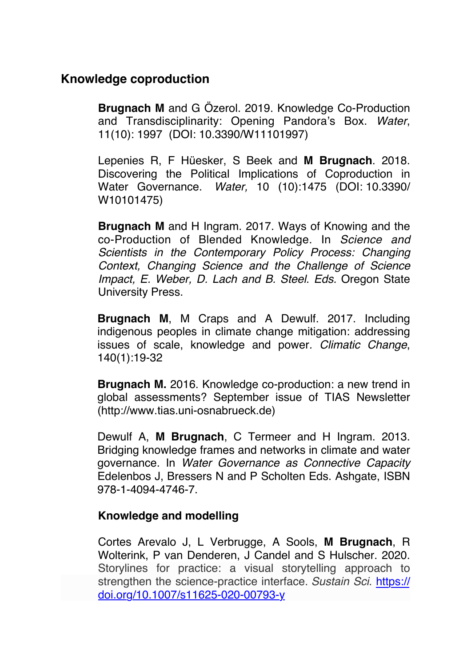## **Knowledge coproduction**

**Brugnach M** and G Ozerol. 2019. [Knowledge Co-Production](https://publons.com/p/26674413/) [and Transdisciplinarity: Opening Pandora's Box.](https://publons.com/p/26674413/) *Water*, 11(10): 1997 (DOI: [10.3390/W11101997\)](https://doi.org/10.3390/W11101997)

Lepenies R, F Hüesker, S Beek and **M Brugnach**. 2018. Discovering the Political Implications of Coproduction in Water Governance. *Water,* 10 (10):1475 (DOI: [10.3390/](https://doi.org/10.3390/W10101475) [W10101475](https://doi.org/10.3390/W10101475))

**Brugnach M** and H Ingram. 2017. Ways of Knowing and the co-Production of Blended Knowledge. In *Science and Scientists in the Contemporary Policy Process: Changing Context, Changing Science and the Challenge of Science Impact, E. Weber, D. Lach and B. Steel. Eds.* Oregon State University Press.

**Brugnach M**, M Craps and A Dewulf. 2017. Including indigenous peoples in climate change mitigation: addressing issues of scale, knowledge and power*. Climatic Change*, 140(1):19-32

**Brugnach M.** 2016. Knowledge co-production: a new trend in global assessments? September issue of TIAS Newsletter (http://www.tias.uni-osnabrueck.de)

Dewulf A, **M Brugnach**, C Termeer and H Ingram. 2013. Bridging knowledge frames and networks in climate and water governance. In *Water Governance as Connective Capacity* Edelenbos J, Bressers N and P Scholten Eds. Ashgate, ISBN 978-1-4094-4746-7.

## **Knowledge and modelling**

Cortes Arevalo J, L Verbrugge, A Sools, **M Brugnach**, R Wolterink, P van Denderen, J Candel and S Hulscher. 2020. Storylines for practice: a visual storytelling approach to strengthen the science-practice interface. *Sustain Sci*. [https://](https://doi.org/10.1007/s11625-020-00793-y) [doi.org/10.1007/s11625-020-00793-y](https://doi.org/10.1007/s11625-020-00793-y)